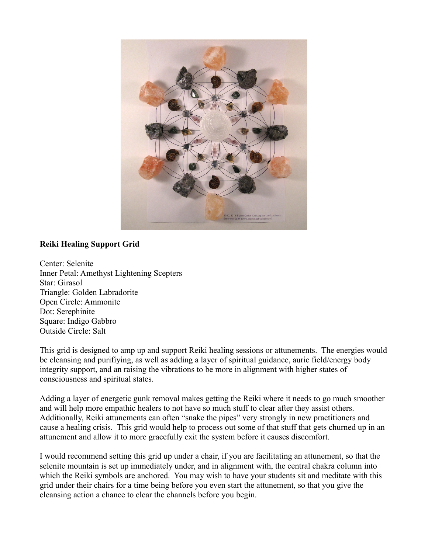

## **Reiki Healing Support Grid**

Center: Selenite Inner Petal: Amethyst Lightening Scepters Star: Girasol Triangle: Golden Labradorite Open Circle: Ammonite Dot: Serephinite Square: Indigo Gabbro Outside Circle: Salt

This grid is designed to amp up and support Reiki healing sessions or attunements. The energies would be cleansing and purifiying, as well as adding a layer of spiritual guidance, auric field/energy body integrity support, and an raising the vibrations to be more in alignment with higher states of consciousness and spiritual states.

Adding a layer of energetic gunk removal makes getting the Reiki where it needs to go much smoother and will help more empathic healers to not have so much stuff to clear after they assist others. Additionally, Reiki attunements can often "snake the pipes" very strongly in new practitioners and cause a healing crisis. This grid would help to process out some of that stuff that gets churned up in an attunement and allow it to more gracefully exit the system before it causes discomfort.

I would recommend setting this grid up under a chair, if you are facilitating an attunement, so that the selenite mountain is set up immediately under, and in alignment with, the central chakra column into which the Reiki symbols are anchored. You may wish to have your students sit and meditate with this grid under their chairs for a time being before you even start the attunement, so that you give the cleansing action a chance to clear the channels before you begin.